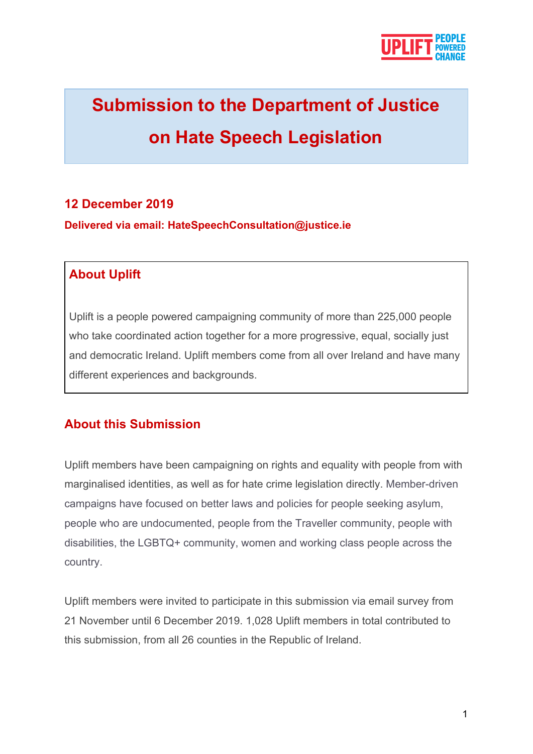

# **Submission to the Department of Justice on Hate Speech Legislation**

# **12 December 2019**

**Delivered via email: HateSpeechConsultation@justice.ie**

### **About Uplift**

Uplift is a people powered campaigning community of more than 225,000 people who take coordinated action together for a more progressive, equal, socially just and democratic Ireland. Uplift members come from all over Ireland and have many different experiences and backgrounds.

# **About this Submission**

Uplift members have been campaigning on rights and equality with people from with marginalised identities, as well as for hate crime legislation directly. Member-driven campaigns have focused on better laws and policies for people seeking asylum, people who are undocumented, people from the Traveller community, people with disabilities, the LGBTQ+ community, women and working class people across the country.

Uplift members were invited to participate in this submission via email survey from 21 November until 6 December 2019. 1,028 Uplift members in total contributed to this submission, from all 26 counties in the Republic of Ireland.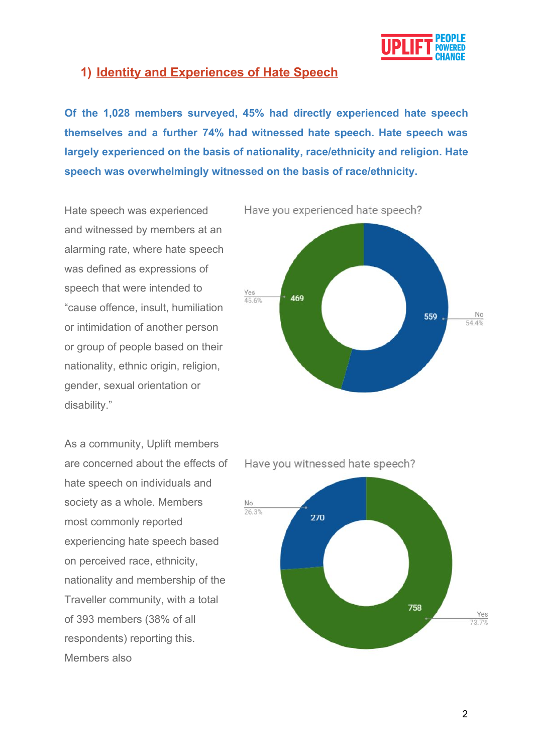

#### **1) Identity and Experiences of Hate Speech**

**Of the 1,028 members surveyed, 45% had directly experienced hate speech themselves and a further 74% had witnessed hate speech. Hate speech was largely experienced on the basis of nationality, race/ethnicity and religion. Hate speech was overwhelmingly witnessed on the basis of race/ethnicity.**

Hate speech was experienced and witnessed by members at an alarming rate, where hate speech was defined as expressions of speech that were intended to "cause offence, insult, humiliation or intimidation of another person or group of people based on their nationality, ethnic origin, religion, gender, sexual orientation or disability."

As a community, Uplift members are concerned about the effects of hate speech on individuals and society as a whole. Members most commonly reported experiencing hate speech based on perceived race, ethnicity, nationality and membership of the Traveller community, with a total of 393 members (38% of all respondents) reporting this. Members also

Have you experienced hate speech?





Have you witnessed hate speech?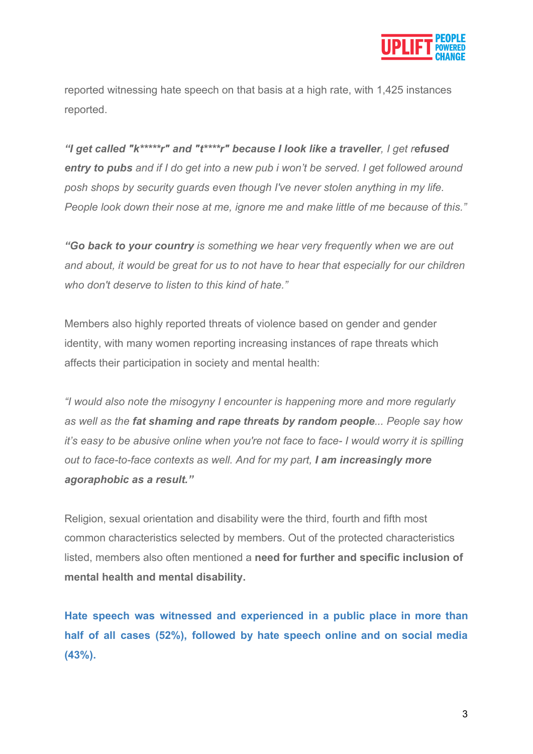

reported witnessing hate speech on that basis at a high rate, with 1,425 instances reported.

*"I get called "k\*\*\*\*\*r" and "t\*\*\*\*r" because I look like a traveller, I get refused entry to pubs and if I do get into a new pub i won't be served. I get followed around posh shops by security guards even though I've never stolen anything in my life. People look down their nose at me, ignore me and make little of me because of this."*

*"Go back to your country is something we hear very frequently when we are out and about, it would be great for us to not have to hear that especially for our children who don't deserve to listen to this kind of hate."*

Members also highly reported threats of violence based on gender and gender identity, with many women reporting increasing instances of rape threats which affects their participation in society and mental health:

*"I would also note the misogyny I encounter is happening more and more regularly as well as the fat shaming and rape threats by random people... People say how it's easy to be abusive online when you're not face to face- I would worry it is spilling out to face-to-face contexts as well. And for my part, I am increasingly more agoraphobic as a result."*

Religion, sexual orientation and disability were the third, fourth and fifth most common characteristics selected by members. Out of the protected characteristics listed, members also often mentioned a **need for further and specific inclusion of mental health and mental disability.**

**Hate speech was witnessed and experienced in a public place in more than half of all cases (52%), followed by hate speech online and on social media (43%).**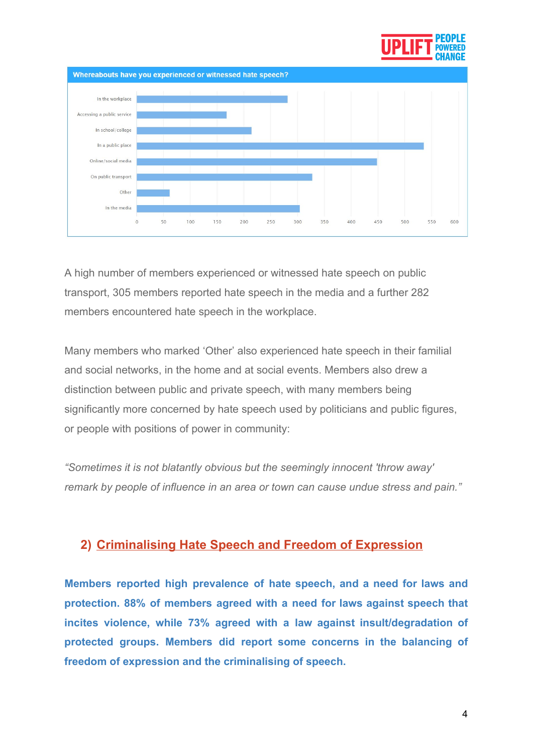



A high number of members experienced or witnessed hate speech on public transport, 305 members reported hate speech in the media and a further 282 members encountered hate speech in the workplace.

Many members who marked 'Other' also experienced hate speech in their familial and social networks, in the home and at social events. Members also drew a distinction between public and private speech, with many members being significantly more concerned by hate speech used by politicians and public figures, or people with positions of power in community:

*"Sometimes it is not blatantly obvious but the seemingly innocent 'throw away' remark by people of influence in an area or town can cause undue stress and pain."*

#### **2) Criminalising Hate Speech and Freedom of Expression**

**Members reported high prevalence of hate speech, and a need for laws and protection. 88% of members agreed with a need for laws against speech that incites violence, while 73% agreed with a law against insult/degradation of protected groups. Members did report some concerns in the balancing of freedom of expression and the criminalising of speech.**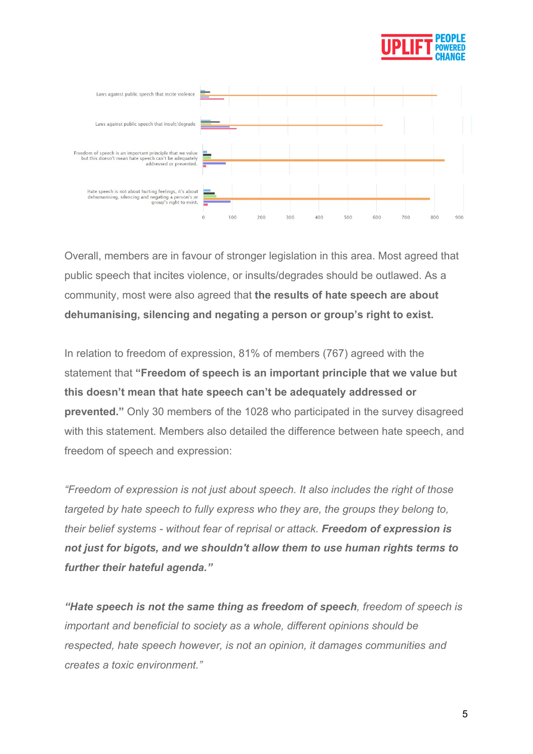



Overall, members are in favour of stronger legislation in this area. Most agreed that public speech that incites violence, or insults/degrades should be outlawed. As a community, most were also agreed that **the results of hate speech are about dehumanising, silencing and negating a person or group's right to exist.**

In relation to freedom of expression, 81% of members (767) agreed with the statement that **"Freedom of speech is an important principle that we value but this doesn't mean that hate speech can't be adequately addressed or prevented."** Only 30 members of the 1028 who participated in the survey disagreed with this statement. Members also detailed the difference between hate speech, and freedom of speech and expression:

*"Freedom of expression is not just about speech. It also includes the right of those targeted by hate speech to fully express who they are, the groups they belong to, their belief systems - without fear of reprisal or attack. Freedom of expression is not just for bigots, and we shouldn't allow them to use human rights terms to further their hateful agenda."*

*"Hate speech is not the same thing as freedom of speech, freedom of speech is important and beneficial to society as a whole, different opinions should be respected, hate speech however, is not an opinion, it damages communities and creates a toxic environment."*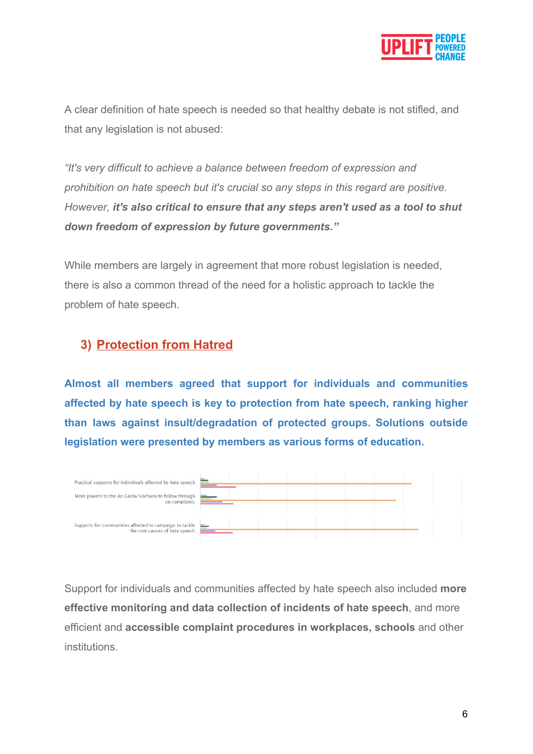

A clear definition of hate speech is needed so that healthy debate is not stifled, and that any legislation is not abused:

*"It's very difficult to achieve a balance between freedom of expression and prohibition on hate speech but it's crucial so any steps in this regard are positive. However, it's also critical to ensure that any steps aren't used as a tool to shut down freedom of expression by future governments."*

While members are largely in agreement that more robust legislation is needed, there is also a common thread of the need for a holistic approach to tackle the problem of hate speech.

## **3) Protection from Hatred**

**Almost all members agreed that support for individuals and communities affected by hate speech is key to protection from hate speech, ranking higher than laws against insult/degradation of protected groups. Solutions outside legislation were presented by members as various forms of education.**



Support for individuals and communities affected by hate speech also included **more effective monitoring and data collection of incidents of hate speech**, and more efficient and **accessible complaint procedures in workplaces, schools** and other institutions.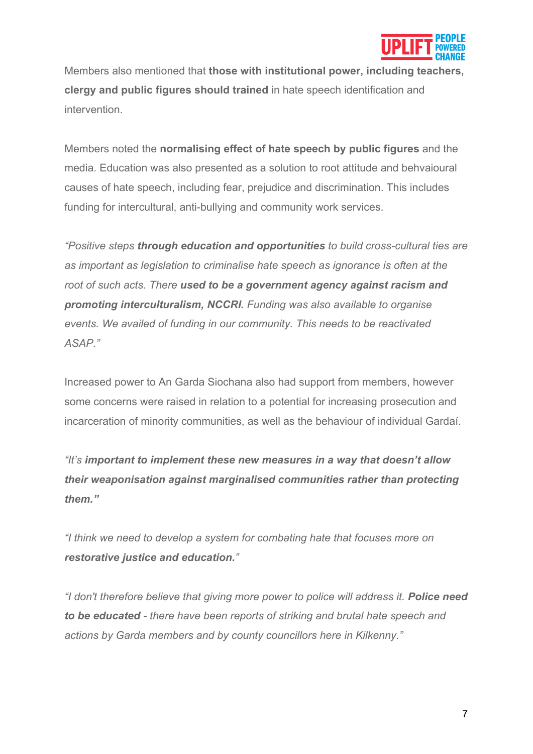

Members also mentioned that **those with institutional power, including teachers, clergy and public figures should trained** in hate speech identification and intervention.

Members noted the **normalising effect of hate speech by public figures** and the media. Education was also presented as a solution to root attitude and behvaioural causes of hate speech, including fear, prejudice and discrimination. This includes funding for intercultural, anti-bullying and community work services.

*"Positive steps through education and opportunities to build cross-cultural ties are as important as legislation to criminalise hate speech as ignorance is often at the root of such acts. There used to be a government agency against racism and promoting interculturalism, NCCRI. Funding was also available to organise events. We availed of funding in our community. This needs to be reactivated ASAP."*

Increased power to An Garda Siochana also had support from members, however some concerns were raised in relation to a potential for increasing prosecution and incarceration of minority communities, as well as the behaviour of individual Gardaí.

*"It's important to implement these new measures in a way that doesn't allow their weaponisation against marginalised communities rather than protecting them."*

*"I think we need to develop a system for combating hate that focuses more on restorative justice and education."*

*"I don't therefore believe that giving more power to police will address it. Police need to be educated - there have been reports of striking and brutal hate speech and actions by Garda members and by county councillors here in Kilkenny."*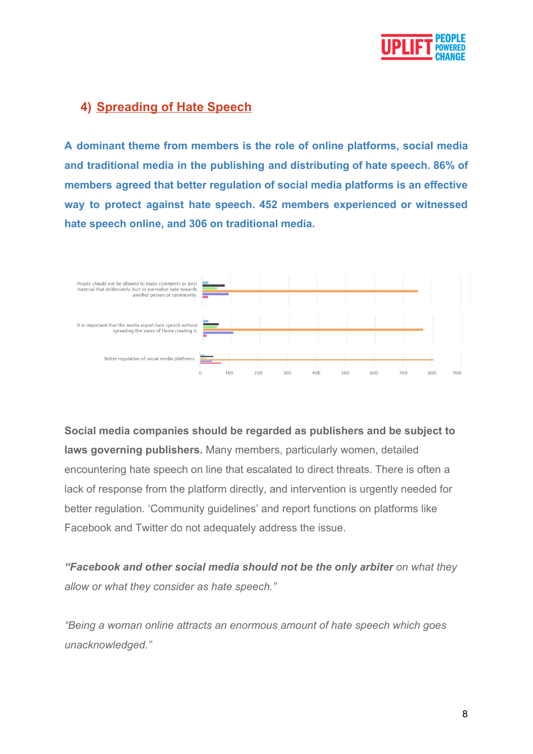

### **4) Spreading of Hate Speech**

**A dominant theme from members is the role of online platforms, social media and traditional media in the publishing and distributing of hate speech. 86% of members agreed that better regulation of social media platforms is an effective way to protect against hate speech. 452 members experienced or witnessed hate speech online, and 306 on traditional media.**



**Social media companies should be regarded as publishers and be subject to laws governing publishers.** Many members, particularly women, detailed encountering hate speech on line that escalated to direct threats. There is often a lack of response from the platform directly, and intervention is urgently needed for better regulation. 'Community guidelines' and report functions on platforms like Facebook and Twitter do not adequately address the issue.

*"Facebook and other social media should not be the only arbiter on what they allow or what they consider as hate speech."*

*"Being a woman online attracts an enormous amount of hate speech which goes unacknowledged."*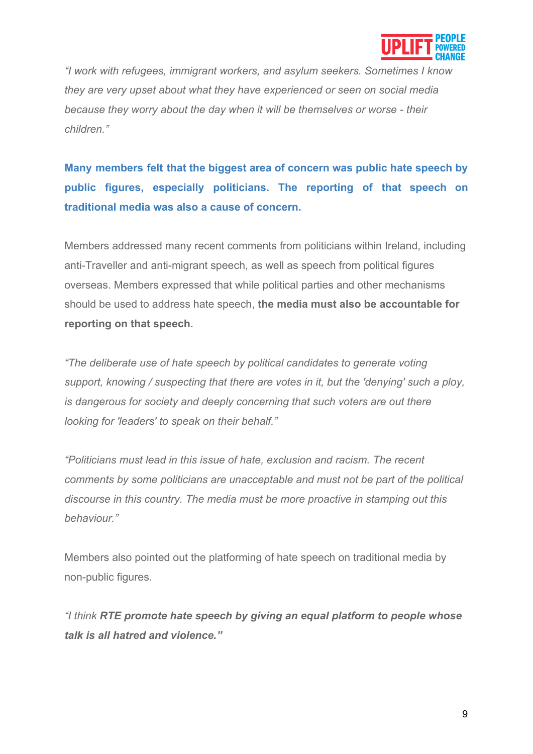

*"I work with refugees, immigrant workers, and asylum seekers. Sometimes I know they are very upset about what they have experienced or seen on social media because they worry about the day when it will be themselves or worse - their children."*

**Many members felt that the biggest area of concern was public hate speech by public figures, especially politicians. The reporting of that speech on traditional media was also a cause of concern.**

Members addressed many recent comments from politicians within Ireland, including anti-Traveller and anti-migrant speech, as well as speech from political figures overseas. Members expressed that while political parties and other mechanisms should be used to address hate speech, **the media must also be accountable for reporting on that speech.**

*"The deliberate use of hate speech by political candidates to generate voting support, knowing / suspecting that there are votes in it, but the 'denying' such a ploy, is dangerous for society and deeply concerning that such voters are out there looking for 'leaders' to speak on their behalf."*

*"Politicians must lead in this issue of hate, exclusion and racism. The recent comments by some politicians are unacceptable and must not be part of the political discourse in this country. The media must be more proactive in stamping out this behaviour."*

Members also pointed out the platforming of hate speech on traditional media by non-public figures.

*"I think RTE promote hate speech by giving an equal platform to people whose talk is all hatred and violence."*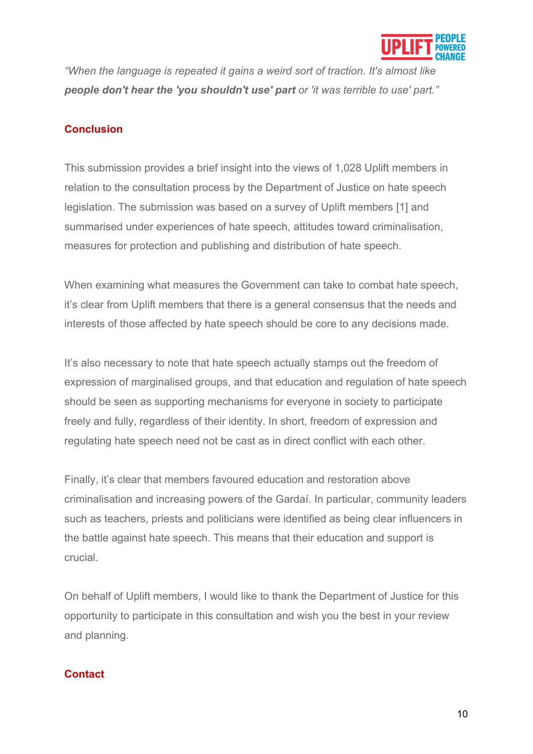

*"When the language is repeated it gains a weird sort of traction. It's almost like people don't hear the 'you shouldn't use' part or 'it was terrible to use' part."*

#### **Conclusion**

This submission provides a brief insight into the views of 1,028 Uplift members in relation to the consultation process by the Department of Justice on hate speech legislation. The submission was based on a survey of Uplift members [1] and summarised under experiences of hate speech, attitudes toward criminalisation, measures for protection and publishing and distribution of hate speech.

When examining what measures the Government can take to combat hate speech, it's clear from Uplift members that there is a general consensus that the needs and interests of those affected by hate speech should be core to any decisions made.

It's also necessary to note that hate speech actually stamps out the freedom of expression of marginalised groups, and that education and regulation of hate speech should be seen as supporting mechanisms for everyone in society to participate freely and fully, regardless of their identity. In short, freedom of expression and regulating hate speech need not be cast as in direct conflict with each other.

Finally, it's clear that members favoured education and restoration above criminalisation and increasing powers of the Gardaí. In particular, community leaders such as teachers, priests and politicians were identified as being clear influencers in the battle against hate speech. This means that their education and support is crucial.

On behalf of Uplift members, I would like to thank the Department of Justice for this opportunity to participate in this consultation and wish you the best in your review and planning.

#### **Contact**